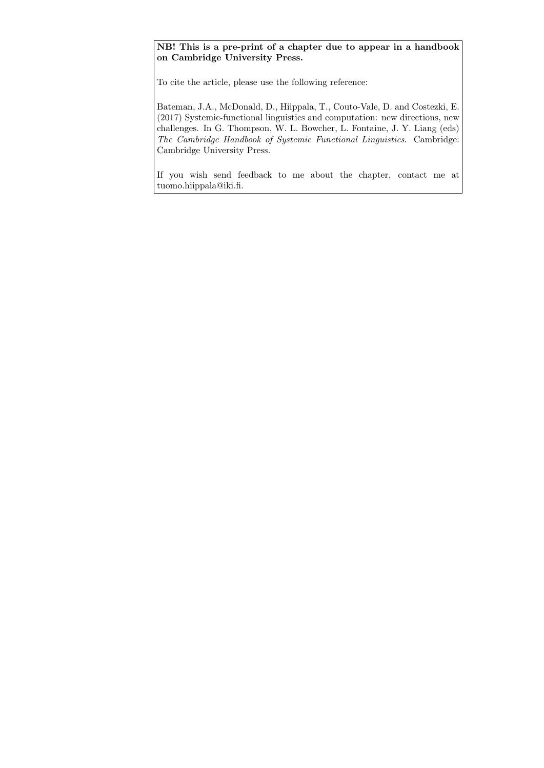### NB! This is a pre-print of a chapter due to appear in a handbook on Cambridge University Press.

To cite the article, please use the following reference:

Bateman, J.A., McDonald, D., Hiippala, T., Couto-Vale, D. and Costezki, E. (2017) Systemic-functional linguistics and computation: new directions, new challenges. In G. Thompson, W. L. Bowcher, L. Fontaine, J. Y. Liang (eds) The Cambridge Handbook of Systemic Functional Linguistics. Cambridge: Cambridge University Press.

If you wish send feedback to me about the chapter, contact me at tuomo.hiippala@iki.fi.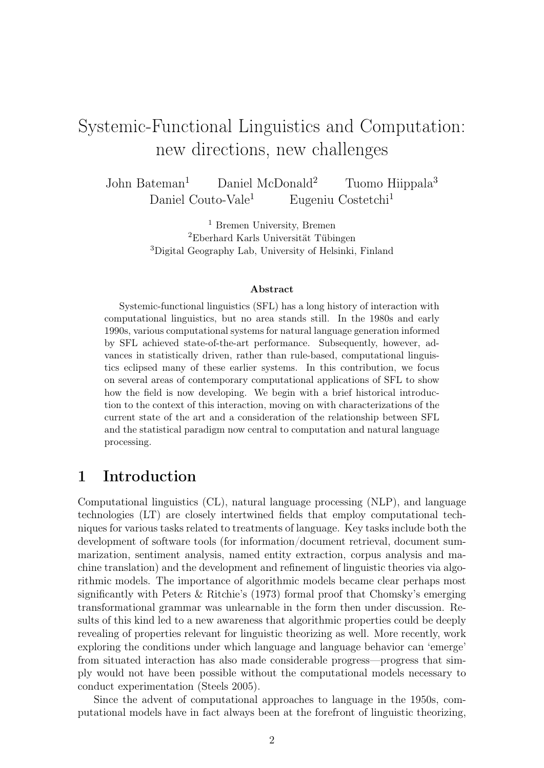# Systemic-Functional Linguistics and Computation: new directions, new challenges

John Bateman<sup>1</sup> Daniel McDonald<sup>2</sup> Tuomo Hiippala<sup>3</sup> Daniel Couto-Vale<sup>1</sup> Eugeniu Costetchi<sup>1</sup>

> <sup>1</sup> Bremen University, Bremen <sup>2</sup>Eberhard Karls Universität Tübingen <sup>3</sup>Digital Geography Lab, University of Helsinki, Finland

#### Abstract

Systemic-functional linguistics (SFL) has a long history of interaction with computational linguistics, but no area stands still. In the 1980s and early 1990s, various computational systems for natural language generation informed by SFL achieved state-of-the-art performance. Subsequently, however, advances in statistically driven, rather than rule-based, computational linguistics eclipsed many of these earlier systems. In this contribution, we focus on several areas of contemporary computational applications of SFL to show how the field is now developing. We begin with a brief historical introduction to the context of this interaction, moving on with characterizations of the current state of the art and a consideration of the relationship between SFL and the statistical paradigm now central to computation and natural language processing.

# 1 Introduction

Computational linguistics (CL), natural language processing (NLP), and language technologies (LT) are closely intertwined fields that employ computational techniques for various tasks related to treatments of language. Key tasks include both the development of software tools (for information/document retrieval, document summarization, sentiment analysis, named entity extraction, corpus analysis and machine translation) and the development and refinement of linguistic theories via algorithmic models. The importance of algorithmic models became clear perhaps most significantly with Peters & Ritchie's (1973) formal proof that Chomsky's emerging transformational grammar was unlearnable in the form then under discussion. Results of this kind led to a new awareness that algorithmic properties could be deeply revealing of properties relevant for linguistic theorizing as well. More recently, work exploring the conditions under which language and language behavior can 'emerge' from situated interaction has also made considerable progress—progress that simply would not have been possible without the computational models necessary to conduct experimentation (Steels 2005).

Since the advent of computational approaches to language in the 1950s, computational models have in fact always been at the forefront of linguistic theorizing,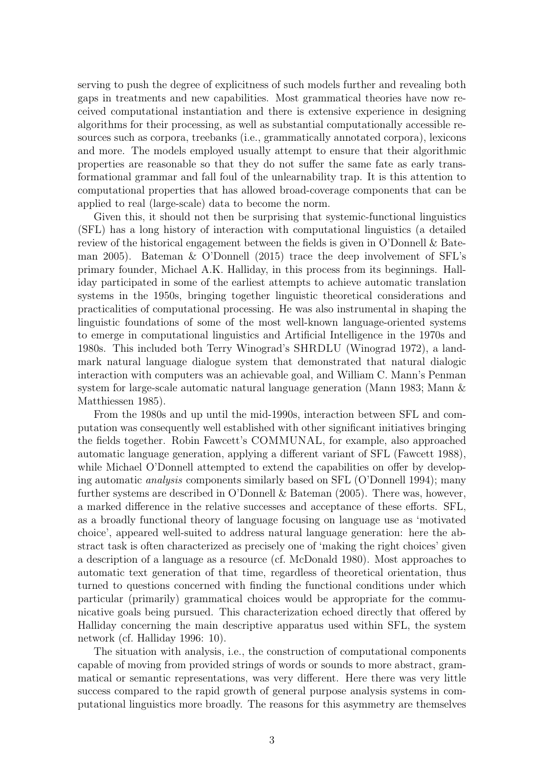serving to push the degree of explicitness of such models further and revealing both gaps in treatments and new capabilities. Most grammatical theories have now received computational instantiation and there is extensive experience in designing algorithms for their processing, as well as substantial computationally accessible resources such as corpora, treebanks (i.e., grammatically annotated corpora), lexicons and more. The models employed usually attempt to ensure that their algorithmic properties are reasonable so that they do not suffer the same fate as early transformational grammar and fall foul of the unlearnability trap. It is this attention to computational properties that has allowed broad-coverage components that can be applied to real (large-scale) data to become the norm.

Given this, it should not then be surprising that systemic-functional linguistics (SFL) has a long history of interaction with computational linguistics (a detailed review of the historical engagement between the fields is given in O'Donnell & Bateman 2005). Bateman & O'Donnell (2015) trace the deep involvement of SFL's primary founder, Michael A.K. Halliday, in this process from its beginnings. Halliday participated in some of the earliest attempts to achieve automatic translation systems in the 1950s, bringing together linguistic theoretical considerations and practicalities of computational processing. He was also instrumental in shaping the linguistic foundations of some of the most well-known language-oriented systems to emerge in computational linguistics and Artificial Intelligence in the 1970s and 1980s. This included both Terry Winograd's SHRDLU (Winograd 1972), a landmark natural language dialogue system that demonstrated that natural dialogic interaction with computers was an achievable goal, and William C. Mann's Penman system for large-scale automatic natural language generation (Mann 1983; Mann & Matthiessen 1985).

From the 1980s and up until the mid-1990s, interaction between SFL and computation was consequently well established with other significant initiatives bringing the fields together. Robin Fawcett's COMMUNAL, for example, also approached automatic language generation, applying a different variant of SFL (Fawcett 1988), while Michael O'Donnell attempted to extend the capabilities on offer by developing automatic analysis components similarly based on SFL (O'Donnell 1994); many further systems are described in O'Donnell & Bateman (2005). There was, however, a marked difference in the relative successes and acceptance of these efforts. SFL, as a broadly functional theory of language focusing on language use as 'motivated choice', appeared well-suited to address natural language generation: here the abstract task is often characterized as precisely one of 'making the right choices' given a description of a language as a resource (cf. McDonald 1980). Most approaches to automatic text generation of that time, regardless of theoretical orientation, thus turned to questions concerned with finding the functional conditions under which particular (primarily) grammatical choices would be appropriate for the communicative goals being pursued. This characterization echoed directly that offered by Halliday concerning the main descriptive apparatus used within SFL, the system network (cf. Halliday 1996: 10).

The situation with analysis, i.e., the construction of computational components capable of moving from provided strings of words or sounds to more abstract, grammatical or semantic representations, was very different. Here there was very little success compared to the rapid growth of general purpose analysis systems in computational linguistics more broadly. The reasons for this asymmetry are themselves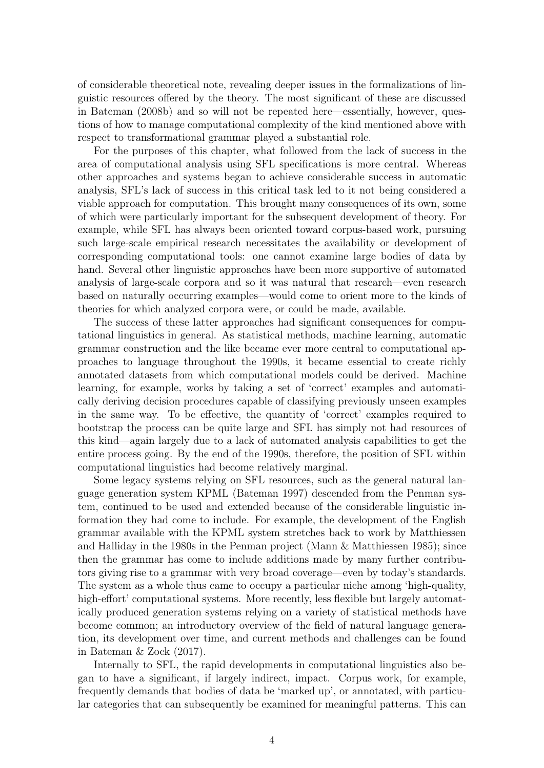of considerable theoretical note, revealing deeper issues in the formalizations of linguistic resources offered by the theory. The most significant of these are discussed in Bateman (2008b) and so will not be repeated here—essentially, however, questions of how to manage computational complexity of the kind mentioned above with respect to transformational grammar played a substantial role.

For the purposes of this chapter, what followed from the lack of success in the area of computational analysis using SFL specifications is more central. Whereas other approaches and systems began to achieve considerable success in automatic analysis, SFL's lack of success in this critical task led to it not being considered a viable approach for computation. This brought many consequences of its own, some of which were particularly important for the subsequent development of theory. For example, while SFL has always been oriented toward corpus-based work, pursuing such large-scale empirical research necessitates the availability or development of corresponding computational tools: one cannot examine large bodies of data by hand. Several other linguistic approaches have been more supportive of automated analysis of large-scale corpora and so it was natural that research—even research based on naturally occurring examples—would come to orient more to the kinds of theories for which analyzed corpora were, or could be made, available.

The success of these latter approaches had significant consequences for computational linguistics in general. As statistical methods, machine learning, automatic grammar construction and the like became ever more central to computational approaches to language throughout the 1990s, it became essential to create richly annotated datasets from which computational models could be derived. Machine learning, for example, works by taking a set of 'correct' examples and automatically deriving decision procedures capable of classifying previously unseen examples in the same way. To be effective, the quantity of 'correct' examples required to bootstrap the process can be quite large and SFL has simply not had resources of this kind—again largely due to a lack of automated analysis capabilities to get the entire process going. By the end of the 1990s, therefore, the position of SFL within computational linguistics had become relatively marginal.

Some legacy systems relying on SFL resources, such as the general natural language generation system KPML (Bateman 1997) descended from the Penman system, continued to be used and extended because of the considerable linguistic information they had come to include. For example, the development of the English grammar available with the KPML system stretches back to work by Matthiessen and Halliday in the 1980s in the Penman project (Mann & Matthiessen 1985); since then the grammar has come to include additions made by many further contributors giving rise to a grammar with very broad coverage—even by today's standards. The system as a whole thus came to occupy a particular niche among 'high-quality, high-effort' computational systems. More recently, less flexible but largely automatically produced generation systems relying on a variety of statistical methods have become common; an introductory overview of the field of natural language generation, its development over time, and current methods and challenges can be found in Bateman & Zock (2017).

Internally to SFL, the rapid developments in computational linguistics also began to have a significant, if largely indirect, impact. Corpus work, for example, frequently demands that bodies of data be 'marked up', or annotated, with particular categories that can subsequently be examined for meaningful patterns. This can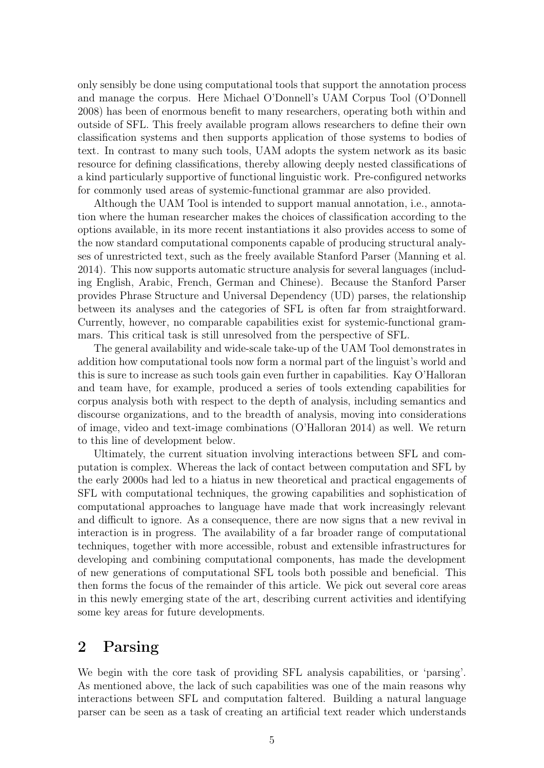only sensibly be done using computational tools that support the annotation process and manage the corpus. Here Michael O'Donnell's UAM Corpus Tool (O'Donnell 2008) has been of enormous benefit to many researchers, operating both within and outside of SFL. This freely available program allows researchers to define their own classification systems and then supports application of those systems to bodies of text. In contrast to many such tools, UAM adopts the system network as its basic resource for defining classifications, thereby allowing deeply nested classifications of a kind particularly supportive of functional linguistic work. Pre-configured networks for commonly used areas of systemic-functional grammar are also provided.

Although the UAM Tool is intended to support manual annotation, i.e., annotation where the human researcher makes the choices of classification according to the options available, in its more recent instantiations it also provides access to some of the now standard computational components capable of producing structural analyses of unrestricted text, such as the freely available Stanford Parser (Manning et al. 2014). This now supports automatic structure analysis for several languages (including English, Arabic, French, German and Chinese). Because the Stanford Parser provides Phrase Structure and Universal Dependency (UD) parses, the relationship between its analyses and the categories of SFL is often far from straightforward. Currently, however, no comparable capabilities exist for systemic-functional grammars. This critical task is still unresolved from the perspective of SFL.

The general availability and wide-scale take-up of the UAM Tool demonstrates in addition how computational tools now form a normal part of the linguist's world and this is sure to increase as such tools gain even further in capabilities. Kay O'Halloran and team have, for example, produced a series of tools extending capabilities for corpus analysis both with respect to the depth of analysis, including semantics and discourse organizations, and to the breadth of analysis, moving into considerations of image, video and text-image combinations (O'Halloran 2014) as well. We return to this line of development below.

Ultimately, the current situation involving interactions between SFL and computation is complex. Whereas the lack of contact between computation and SFL by the early 2000s had led to a hiatus in new theoretical and practical engagements of SFL with computational techniques, the growing capabilities and sophistication of computational approaches to language have made that work increasingly relevant and difficult to ignore. As a consequence, there are now signs that a new revival in interaction is in progress. The availability of a far broader range of computational techniques, together with more accessible, robust and extensible infrastructures for developing and combining computational components, has made the development of new generations of computational SFL tools both possible and beneficial. This then forms the focus of the remainder of this article. We pick out several core areas in this newly emerging state of the art, describing current activities and identifying some key areas for future developments.

# 2 Parsing

We begin with the core task of providing SFL analysis capabilities, or 'parsing'. As mentioned above, the lack of such capabilities was one of the main reasons why interactions between SFL and computation faltered. Building a natural language parser can be seen as a task of creating an artificial text reader which understands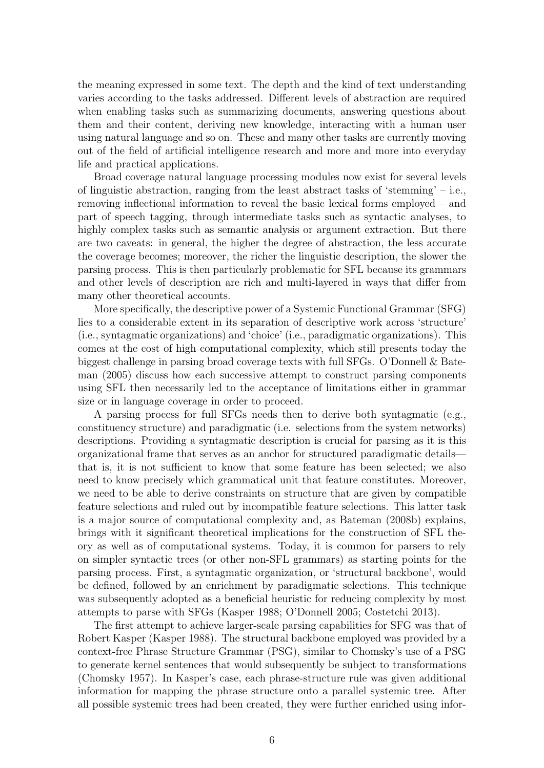the meaning expressed in some text. The depth and the kind of text understanding varies according to the tasks addressed. Different levels of abstraction are required when enabling tasks such as summarizing documents, answering questions about them and their content, deriving new knowledge, interacting with a human user using natural language and so on. These and many other tasks are currently moving out of the field of artificial intelligence research and more and more into everyday life and practical applications.

Broad coverage natural language processing modules now exist for several levels of linguistic abstraction, ranging from the least abstract tasks of 'stemming' – i.e., removing inflectional information to reveal the basic lexical forms employed – and part of speech tagging, through intermediate tasks such as syntactic analyses, to highly complex tasks such as semantic analysis or argument extraction. But there are two caveats: in general, the higher the degree of abstraction, the less accurate the coverage becomes; moreover, the richer the linguistic description, the slower the parsing process. This is then particularly problematic for SFL because its grammars and other levels of description are rich and multi-layered in ways that differ from many other theoretical accounts.

More specifically, the descriptive power of a Systemic Functional Grammar (SFG) lies to a considerable extent in its separation of descriptive work across 'structure' (i.e., syntagmatic organizations) and 'choice' (i.e., paradigmatic organizations). This comes at the cost of high computational complexity, which still presents today the biggest challenge in parsing broad coverage texts with full SFGs. O'Donnell & Bateman (2005) discuss how each successive attempt to construct parsing components using SFL then necessarily led to the acceptance of limitations either in grammar size or in language coverage in order to proceed.

A parsing process for full SFGs needs then to derive both syntagmatic (e.g., constituency structure) and paradigmatic (i.e. selections from the system networks) descriptions. Providing a syntagmatic description is crucial for parsing as it is this organizational frame that serves as an anchor for structured paradigmatic details that is, it is not sufficient to know that some feature has been selected; we also need to know precisely which grammatical unit that feature constitutes. Moreover, we need to be able to derive constraints on structure that are given by compatible feature selections and ruled out by incompatible feature selections. This latter task is a major source of computational complexity and, as Bateman (2008b) explains, brings with it significant theoretical implications for the construction of SFL theory as well as of computational systems. Today, it is common for parsers to rely on simpler syntactic trees (or other non-SFL grammars) as starting points for the parsing process. First, a syntagmatic organization, or 'structural backbone', would be defined, followed by an enrichment by paradigmatic selections. This technique was subsequently adopted as a beneficial heuristic for reducing complexity by most attempts to parse with SFGs (Kasper 1988; O'Donnell 2005; Costetchi 2013).

The first attempt to achieve larger-scale parsing capabilities for SFG was that of Robert Kasper (Kasper 1988). The structural backbone employed was provided by a context-free Phrase Structure Grammar (PSG), similar to Chomsky's use of a PSG to generate kernel sentences that would subsequently be subject to transformations (Chomsky 1957). In Kasper's case, each phrase-structure rule was given additional information for mapping the phrase structure onto a parallel systemic tree. After all possible systemic trees had been created, they were further enriched using infor-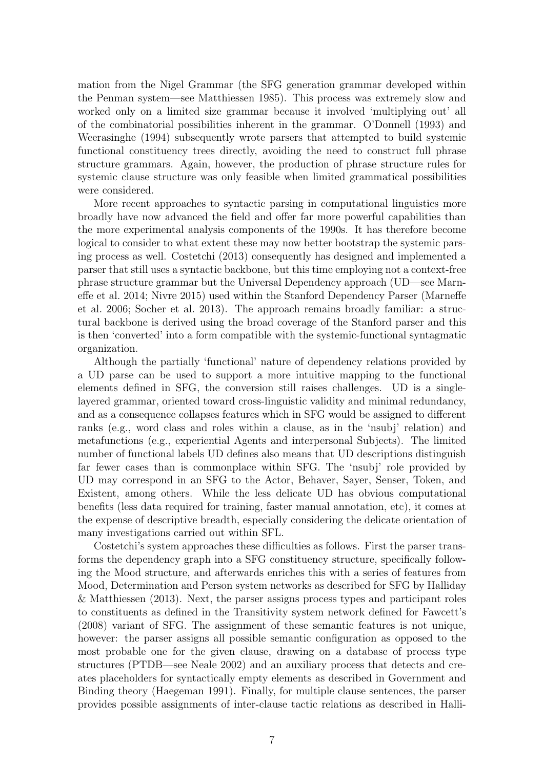mation from the Nigel Grammar (the SFG generation grammar developed within the Penman system—see Matthiessen 1985). This process was extremely slow and worked only on a limited size grammar because it involved 'multiplying out' all of the combinatorial possibilities inherent in the grammar. O'Donnell (1993) and Weerasinghe (1994) subsequently wrote parsers that attempted to build systemic functional constituency trees directly, avoiding the need to construct full phrase structure grammars. Again, however, the production of phrase structure rules for systemic clause structure was only feasible when limited grammatical possibilities were considered.

More recent approaches to syntactic parsing in computational linguistics more broadly have now advanced the field and offer far more powerful capabilities than the more experimental analysis components of the 1990s. It has therefore become logical to consider to what extent these may now better bootstrap the systemic parsing process as well. Costetchi (2013) consequently has designed and implemented a parser that still uses a syntactic backbone, but this time employing not a context-free phrase structure grammar but the Universal Dependency approach (UD—see Marneffe et al. 2014; Nivre 2015) used within the Stanford Dependency Parser (Marneffe et al. 2006; Socher et al. 2013). The approach remains broadly familiar: a structural backbone is derived using the broad coverage of the Stanford parser and this is then 'converted' into a form compatible with the systemic-functional syntagmatic organization.

Although the partially 'functional' nature of dependency relations provided by a UD parse can be used to support a more intuitive mapping to the functional elements defined in SFG, the conversion still raises challenges. UD is a singlelayered grammar, oriented toward cross-linguistic validity and minimal redundancy, and as a consequence collapses features which in SFG would be assigned to different ranks (e.g., word class and roles within a clause, as in the 'nsubj' relation) and metafunctions (e.g., experiential Agents and interpersonal Subjects). The limited number of functional labels UD defines also means that UD descriptions distinguish far fewer cases than is commonplace within SFG. The 'nsubj' role provided by UD may correspond in an SFG to the Actor, Behaver, Sayer, Senser, Token, and Existent, among others. While the less delicate UD has obvious computational benefits (less data required for training, faster manual annotation, etc), it comes at the expense of descriptive breadth, especially considering the delicate orientation of many investigations carried out within SFL.

Costetchi's system approaches these difficulties as follows. First the parser transforms the dependency graph into a SFG constituency structure, specifically following the Mood structure, and afterwards enriches this with a series of features from Mood, Determination and Person system networks as described for SFG by Halliday & Matthiessen (2013). Next, the parser assigns process types and participant roles to constituents as defined in the Transitivity system network defined for Fawcett's (2008) variant of SFG. The assignment of these semantic features is not unique, however: the parser assigns all possible semantic configuration as opposed to the most probable one for the given clause, drawing on a database of process type structures (PTDB—see Neale 2002) and an auxiliary process that detects and creates placeholders for syntactically empty elements as described in Government and Binding theory (Haegeman 1991). Finally, for multiple clause sentences, the parser provides possible assignments of inter-clause tactic relations as described in Halli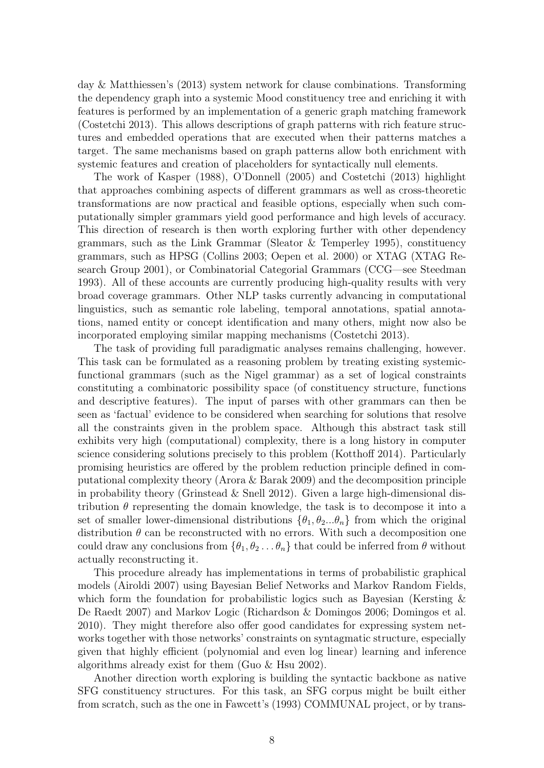day & Matthiessen's (2013) system network for clause combinations. Transforming the dependency graph into a systemic Mood constituency tree and enriching it with features is performed by an implementation of a generic graph matching framework (Costetchi 2013). This allows descriptions of graph patterns with rich feature structures and embedded operations that are executed when their patterns matches a target. The same mechanisms based on graph patterns allow both enrichment with systemic features and creation of placeholders for syntactically null elements.

The work of Kasper (1988), O'Donnell (2005) and Costetchi (2013) highlight that approaches combining aspects of different grammars as well as cross-theoretic transformations are now practical and feasible options, especially when such computationally simpler grammars yield good performance and high levels of accuracy. This direction of research is then worth exploring further with other dependency grammars, such as the Link Grammar (Sleator & Temperley 1995), constituency grammars, such as HPSG (Collins 2003; Oepen et al. 2000) or XTAG (XTAG Research Group 2001), or Combinatorial Categorial Grammars (CCG—see Steedman 1993). All of these accounts are currently producing high-quality results with very broad coverage grammars. Other NLP tasks currently advancing in computational linguistics, such as semantic role labeling, temporal annotations, spatial annotations, named entity or concept identification and many others, might now also be incorporated employing similar mapping mechanisms (Costetchi 2013).

The task of providing full paradigmatic analyses remains challenging, however. This task can be formulated as a reasoning problem by treating existing systemicfunctional grammars (such as the Nigel grammar) as a set of logical constraints constituting a combinatoric possibility space (of constituency structure, functions and descriptive features). The input of parses with other grammars can then be seen as 'factual' evidence to be considered when searching for solutions that resolve all the constraints given in the problem space. Although this abstract task still exhibits very high (computational) complexity, there is a long history in computer science considering solutions precisely to this problem (Kotthoff 2014). Particularly promising heuristics are offered by the problem reduction principle defined in computational complexity theory (Arora & Barak 2009) and the decomposition principle in probability theory (Grinstead  $\&$  Snell 2012). Given a large high-dimensional distribution  $\theta$  representing the domain knowledge, the task is to decompose it into a set of smaller lower-dimensional distributions  $\{\theta_1, \theta_2...\theta_n\}$  from which the original distribution  $\theta$  can be reconstructed with no errors. With such a decomposition one could draw any conclusions from  $\{\theta_1, \theta_2 \ldots \theta_n\}$  that could be inferred from  $\theta$  without actually reconstructing it.

This procedure already has implementations in terms of probabilistic graphical models (Airoldi 2007) using Bayesian Belief Networks and Markov Random Fields, which form the foundation for probabilistic logics such as Bayesian (Kersting & De Raedt 2007) and Markov Logic (Richardson & Domingos 2006; Domingos et al. 2010). They might therefore also offer good candidates for expressing system networks together with those networks' constraints on syntagmatic structure, especially given that highly efficient (polynomial and even log linear) learning and inference algorithms already exist for them (Guo & Hsu 2002).

Another direction worth exploring is building the syntactic backbone as native SFG constituency structures. For this task, an SFG corpus might be built either from scratch, such as the one in Fawcett's (1993) COMMUNAL project, or by trans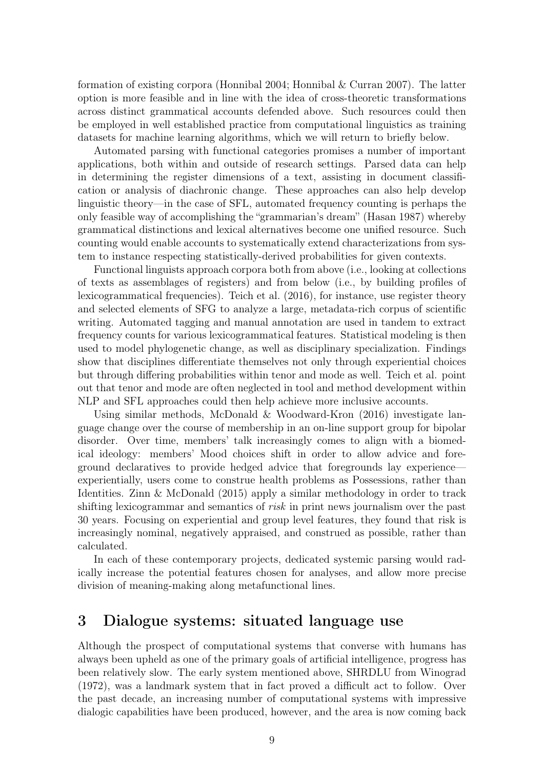formation of existing corpora (Honnibal 2004; Honnibal & Curran 2007). The latter option is more feasible and in line with the idea of cross-theoretic transformations across distinct grammatical accounts defended above. Such resources could then be employed in well established practice from computational linguistics as training datasets for machine learning algorithms, which we will return to briefly below.

Automated parsing with functional categories promises a number of important applications, both within and outside of research settings. Parsed data can help in determining the register dimensions of a text, assisting in document classification or analysis of diachronic change. These approaches can also help develop linguistic theory—in the case of SFL, automated frequency counting is perhaps the only feasible way of accomplishing the "grammarian's dream" (Hasan 1987) whereby grammatical distinctions and lexical alternatives become one unified resource. Such counting would enable accounts to systematically extend characterizations from system to instance respecting statistically-derived probabilities for given contexts.

Functional linguists approach corpora both from above (i.e., looking at collections of texts as assemblages of registers) and from below (i.e., by building profiles of lexicogrammatical frequencies). Teich et al. (2016), for instance, use register theory and selected elements of SFG to analyze a large, metadata-rich corpus of scientific writing. Automated tagging and manual annotation are used in tandem to extract frequency counts for various lexicogrammatical features. Statistical modeling is then used to model phylogenetic change, as well as disciplinary specialization. Findings show that disciplines differentiate themselves not only through experiential choices but through differing probabilities within tenor and mode as well. Teich et al. point out that tenor and mode are often neglected in tool and method development within NLP and SFL approaches could then help achieve more inclusive accounts.

Using similar methods, McDonald & Woodward-Kron (2016) investigate language change over the course of membership in an on-line support group for bipolar disorder. Over time, members' talk increasingly comes to align with a biomedical ideology: members' Mood choices shift in order to allow advice and foreground declaratives to provide hedged advice that foregrounds lay experience experientially, users come to construe health problems as Possessions, rather than Identities. Zinn & McDonald (2015) apply a similar methodology in order to track shifting lexicogrammar and semantics of risk in print news journalism over the past 30 years. Focusing on experiential and group level features, they found that risk is increasingly nominal, negatively appraised, and construed as possible, rather than calculated.

In each of these contemporary projects, dedicated systemic parsing would radically increase the potential features chosen for analyses, and allow more precise division of meaning-making along metafunctional lines.

## 3 Dialogue systems: situated language use

Although the prospect of computational systems that converse with humans has always been upheld as one of the primary goals of artificial intelligence, progress has been relatively slow. The early system mentioned above, SHRDLU from Winograd (1972), was a landmark system that in fact proved a difficult act to follow. Over the past decade, an increasing number of computational systems with impressive dialogic capabilities have been produced, however, and the area is now coming back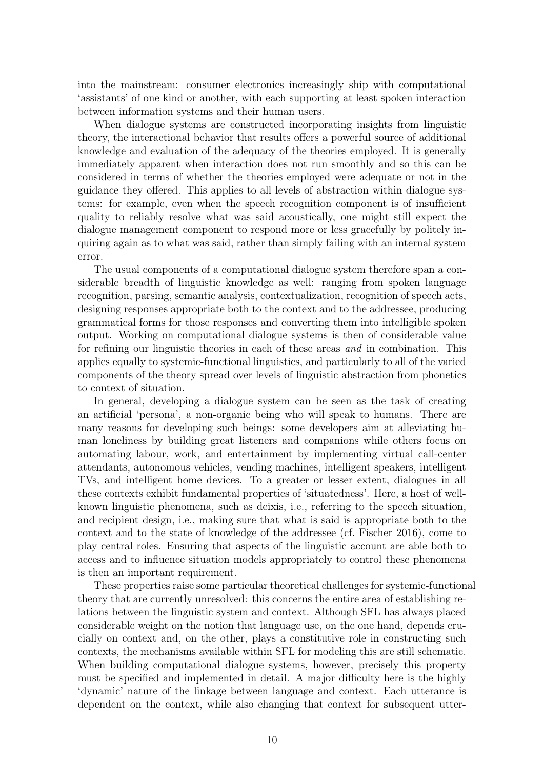into the mainstream: consumer electronics increasingly ship with computational 'assistants' of one kind or another, with each supporting at least spoken interaction between information systems and their human users.

When dialogue systems are constructed incorporating insights from linguistic theory, the interactional behavior that results offers a powerful source of additional knowledge and evaluation of the adequacy of the theories employed. It is generally immediately apparent when interaction does not run smoothly and so this can be considered in terms of whether the theories employed were adequate or not in the guidance they offered. This applies to all levels of abstraction within dialogue systems: for example, even when the speech recognition component is of insufficient quality to reliably resolve what was said acoustically, one might still expect the dialogue management component to respond more or less gracefully by politely inquiring again as to what was said, rather than simply failing with an internal system error.

The usual components of a computational dialogue system therefore span a considerable breadth of linguistic knowledge as well: ranging from spoken language recognition, parsing, semantic analysis, contextualization, recognition of speech acts, designing responses appropriate both to the context and to the addressee, producing grammatical forms for those responses and converting them into intelligible spoken output. Working on computational dialogue systems is then of considerable value for refining our linguistic theories in each of these areas and in combination. This applies equally to systemic-functional linguistics, and particularly to all of the varied components of the theory spread over levels of linguistic abstraction from phonetics to context of situation.

In general, developing a dialogue system can be seen as the task of creating an artificial 'persona', a non-organic being who will speak to humans. There are many reasons for developing such beings: some developers aim at alleviating human loneliness by building great listeners and companions while others focus on automating labour, work, and entertainment by implementing virtual call-center attendants, autonomous vehicles, vending machines, intelligent speakers, intelligent TVs, and intelligent home devices. To a greater or lesser extent, dialogues in all these contexts exhibit fundamental properties of 'situatedness'. Here, a host of wellknown linguistic phenomena, such as deixis, i.e., referring to the speech situation, and recipient design, i.e., making sure that what is said is appropriate both to the context and to the state of knowledge of the addressee (cf. Fischer 2016), come to play central roles. Ensuring that aspects of the linguistic account are able both to access and to influence situation models appropriately to control these phenomena is then an important requirement.

These properties raise some particular theoretical challenges for systemic-functional theory that are currently unresolved: this concerns the entire area of establishing relations between the linguistic system and context. Although SFL has always placed considerable weight on the notion that language use, on the one hand, depends crucially on context and, on the other, plays a constitutive role in constructing such contexts, the mechanisms available within SFL for modeling this are still schematic. When building computational dialogue systems, however, precisely this property must be specified and implemented in detail. A major difficulty here is the highly 'dynamic' nature of the linkage between language and context. Each utterance is dependent on the context, while also changing that context for subsequent utter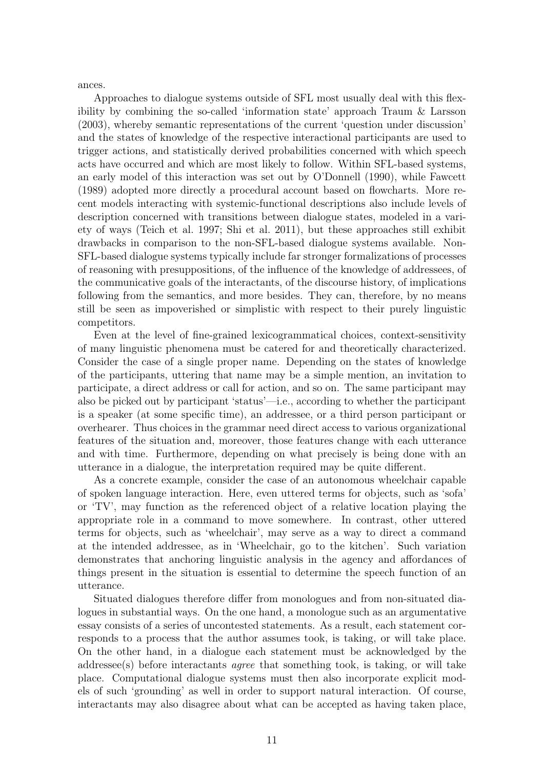ances.

Approaches to dialogue systems outside of SFL most usually deal with this flexibility by combining the so-called 'information state' approach Traum & Larsson (2003), whereby semantic representations of the current 'question under discussion' and the states of knowledge of the respective interactional participants are used to trigger actions, and statistically derived probabilities concerned with which speech acts have occurred and which are most likely to follow. Within SFL-based systems, an early model of this interaction was set out by O'Donnell (1990), while Fawcett (1989) adopted more directly a procedural account based on flowcharts. More recent models interacting with systemic-functional descriptions also include levels of description concerned with transitions between dialogue states, modeled in a variety of ways (Teich et al. 1997; Shi et al. 2011), but these approaches still exhibit drawbacks in comparison to the non-SFL-based dialogue systems available. Non-SFL-based dialogue systems typically include far stronger formalizations of processes of reasoning with presuppositions, of the influence of the knowledge of addressees, of the communicative goals of the interactants, of the discourse history, of implications following from the semantics, and more besides. They can, therefore, by no means still be seen as impoverished or simplistic with respect to their purely linguistic competitors.

Even at the level of fine-grained lexicogrammatical choices, context-sensitivity of many linguistic phenomena must be catered for and theoretically characterized. Consider the case of a single proper name. Depending on the states of knowledge of the participants, uttering that name may be a simple mention, an invitation to participate, a direct address or call for action, and so on. The same participant may also be picked out by participant 'status'—i.e., according to whether the participant is a speaker (at some specific time), an addressee, or a third person participant or overhearer. Thus choices in the grammar need direct access to various organizational features of the situation and, moreover, those features change with each utterance and with time. Furthermore, depending on what precisely is being done with an utterance in a dialogue, the interpretation required may be quite different.

As a concrete example, consider the case of an autonomous wheelchair capable of spoken language interaction. Here, even uttered terms for objects, such as 'sofa' or 'TV', may function as the referenced object of a relative location playing the appropriate role in a command to move somewhere. In contrast, other uttered terms for objects, such as 'wheelchair', may serve as a way to direct a command at the intended addressee, as in 'Wheelchair, go to the kitchen'. Such variation demonstrates that anchoring linguistic analysis in the agency and affordances of things present in the situation is essential to determine the speech function of an utterance.

Situated dialogues therefore differ from monologues and from non-situated dialogues in substantial ways. On the one hand, a monologue such as an argumentative essay consists of a series of uncontested statements. As a result, each statement corresponds to a process that the author assumes took, is taking, or will take place. On the other hand, in a dialogue each statement must be acknowledged by the addressee(s) before interactants agree that something took, is taking, or will take place. Computational dialogue systems must then also incorporate explicit models of such 'grounding' as well in order to support natural interaction. Of course, interactants may also disagree about what can be accepted as having taken place,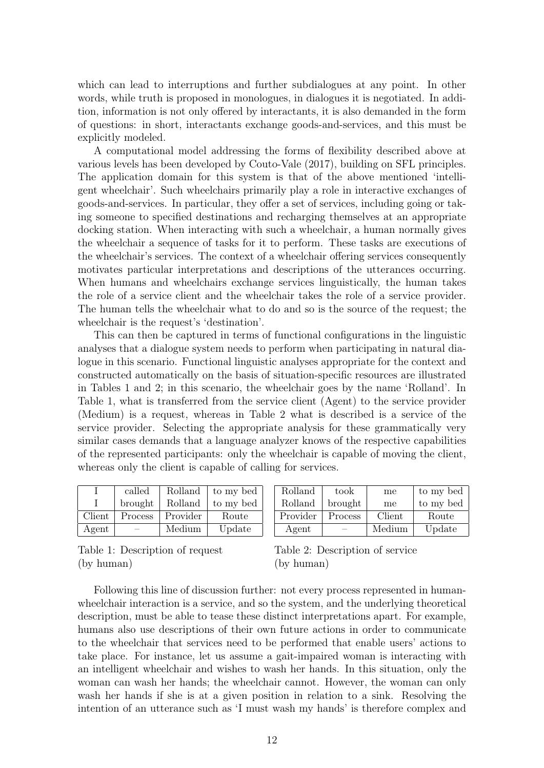which can lead to interruptions and further subdialogues at any point. In other words, while truth is proposed in monologues, in dialogues it is negotiated. In addition, information is not only offered by interactants, it is also demanded in the form of questions: in short, interactants exchange goods-and-services, and this must be explicitly modeled.

A computational model addressing the forms of flexibility described above at various levels has been developed by Couto-Vale (2017), building on SFL principles. The application domain for this system is that of the above mentioned 'intelligent wheelchair'. Such wheelchairs primarily play a role in interactive exchanges of goods-and-services. In particular, they offer a set of services, including going or taking someone to specified destinations and recharging themselves at an appropriate docking station. When interacting with such a wheelchair, a human normally gives the wheelchair a sequence of tasks for it to perform. These tasks are executions of the wheelchair's services. The context of a wheelchair offering services consequently motivates particular interpretations and descriptions of the utterances occurring. When humans and wheelchairs exchange services linguistically, the human takes the role of a service client and the wheelchair takes the role of a service provider. The human tells the wheelchair what to do and so is the source of the request; the wheelchair is the request's 'destination'.

This can then be captured in terms of functional configurations in the linguistic analyses that a dialogue system needs to perform when participating in natural dialogue in this scenario. Functional linguistic analyses appropriate for the context and constructed automatically on the basis of situation-specific resources are illustrated in Tables 1 and 2; in this scenario, the wheelchair goes by the name 'Rolland'. In Table 1, what is transferred from the service client (Agent) to the service provider (Medium) is a request, whereas in Table 2 what is described is a service of the service provider. Selecting the appropriate analysis for these grammatically very similar cases demands that a language analyzer knows of the respective capabilities of the represented participants: only the wheelchair is capable of moving the client, whereas only the client is capable of calling for services.

|        | called  | Rolland  | to my bed |
|--------|---------|----------|-----------|
|        | brought | Rolland  | to my bed |
| Client | Process | Provider | Route     |
| Agent  |         | Medium   | Update    |

Rolland took me to my bed Rolland brought me to my bed Provider Process Client Route Agent  $\vert$  – | Medium | Update

Table 1: Description of request (by human)

Table 2: Description of service (by human)

Following this line of discussion further: not every process represented in humanwheelchair interaction is a service, and so the system, and the underlying theoretical description, must be able to tease these distinct interpretations apart. For example, humans also use descriptions of their own future actions in order to communicate to the wheelchair that services need to be performed that enable users' actions to take place. For instance, let us assume a gait-impaired woman is interacting with an intelligent wheelchair and wishes to wash her hands. In this situation, only the woman can wash her hands; the wheelchair cannot. However, the woman can only wash her hands if she is at a given position in relation to a sink. Resolving the intention of an utterance such as 'I must wash my hands' is therefore complex and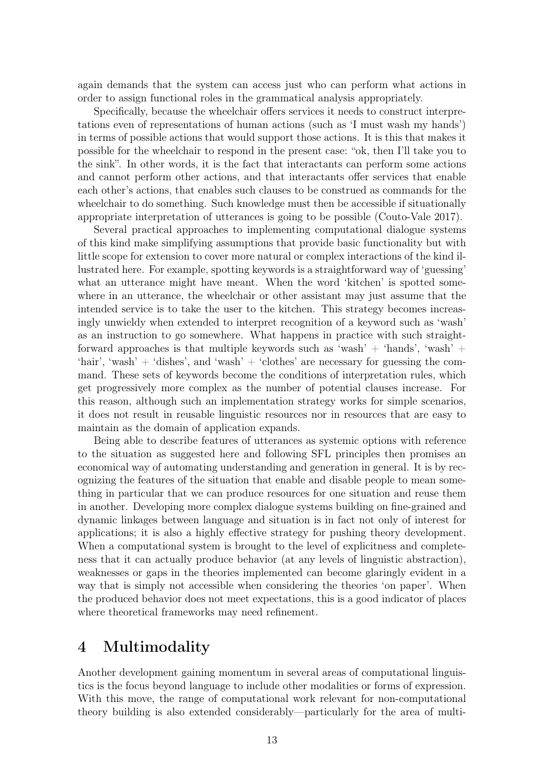again demands that the system can access just who can perform what actions in order to assign functional roles in the grammatical analysis appropriately.

Specifically, because the wheelchair offers services it needs to construct interpretations even of representations of human actions (such as 'I must wash my hands') in terms of possible actions that would support those actions. It is this that makes it possible for the wheelchair to respond in the present case: "ok, then I'll take you to the sink". In other words, it is the fact that interactants can perform some actions and cannot perform other actions, and that interactants offer services that enable each other's actions, that enables such clauses to be construed as commands for the wheelchair to do something. Such knowledge must then be accessible if situationally appropriate interpretation of utterances is going to be possible (Couto-Vale 2017).

Several practical approaches to implementing computational dialogue systems of this kind make simplifying assumptions that provide basic functionality but with little scope for extension to cover more natural or complex interactions of the kind illustrated here. For example, spotting keywords is a straightforward way of 'guessing' what an utterance might have meant. When the word 'kitchen' is spotted somewhere in an utterance, the wheelchair or other assistant may just assume that the intended service is to take the user to the kitchen. This strategy becomes increasingly unwieldy when extended to interpret recognition of a keyword such as 'wash' as an instruction to go somewhere. What happens in practice with such straightforward approaches is that multiple keywords such as 'wash' + 'hands', 'wash' + 'hair', 'wash' + 'dishes', and 'wash' + 'clothes' are necessary for guessing the command. These sets of keywords become the conditions of interpretation rules, which get progressively more complex as the number of potential clauses increase. For this reason, although such an implementation strategy works for simple scenarios, it does not result in reusable linguistic resources nor in resources that are easy to maintain as the domain of application expands.

Being able to describe features of utterances as systemic options with reference to the situation as suggested here and following SFL principles then promises an economical way of automating understanding and generation in general. It is by recognizing the features of the situation that enable and disable people to mean something in particular that we can produce resources for one situation and reuse them in another. Developing more complex dialogue systems building on fine-grained and dynamic linkages between language and situation is in fact not only of interest for applications; it is also a highly effective strategy for pushing theory development. When a computational system is brought to the level of explicitness and completeness that it can actually produce behavior (at any levels of linguistic abstraction), weaknesses or gaps in the theories implemented can become glaringly evident in a way that is simply not accessible when considering the theories 'on paper'. When the produced behavior does not meet expectations, this is a good indicator of places where theoretical frameworks may need refinement.

# 4 Multimodality

Another development gaining momentum in several areas of computational linguistics is the focus beyond language to include other modalities or forms of expression. With this move, the range of computational work relevant for non-computational theory building is also extended considerably—particularly for the area of multi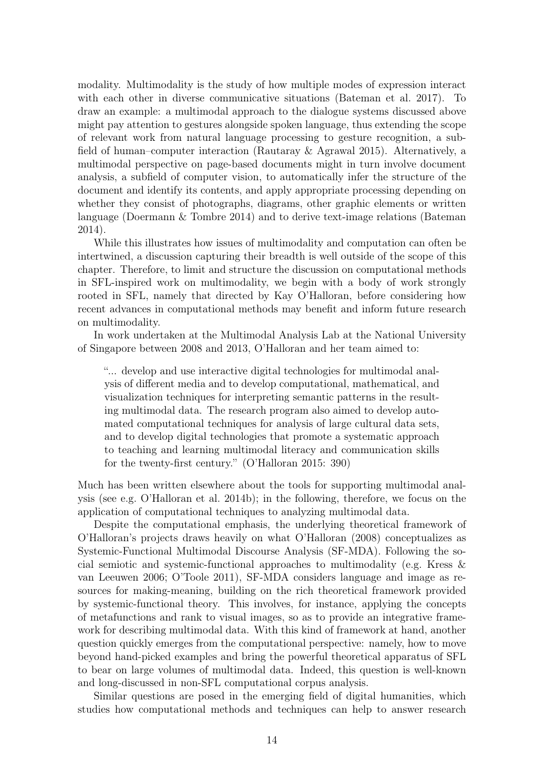modality. Multimodality is the study of how multiple modes of expression interact with each other in diverse communicative situations (Bateman et al. 2017). To draw an example: a multimodal approach to the dialogue systems discussed above might pay attention to gestures alongside spoken language, thus extending the scope of relevant work from natural language processing to gesture recognition, a subfield of human–computer interaction (Rautaray & Agrawal 2015). Alternatively, a multimodal perspective on page-based documents might in turn involve document analysis, a subfield of computer vision, to automatically infer the structure of the document and identify its contents, and apply appropriate processing depending on whether they consist of photographs, diagrams, other graphic elements or written language (Doermann & Tombre 2014) and to derive text-image relations (Bateman 2014).

While this illustrates how issues of multimodality and computation can often be intertwined, a discussion capturing their breadth is well outside of the scope of this chapter. Therefore, to limit and structure the discussion on computational methods in SFL-inspired work on multimodality, we begin with a body of work strongly rooted in SFL, namely that directed by Kay O'Halloran, before considering how recent advances in computational methods may benefit and inform future research on multimodality.

In work undertaken at the Multimodal Analysis Lab at the National University of Singapore between 2008 and 2013, O'Halloran and her team aimed to:

"... develop and use interactive digital technologies for multimodal analysis of different media and to develop computational, mathematical, and visualization techniques for interpreting semantic patterns in the resulting multimodal data. The research program also aimed to develop automated computational techniques for analysis of large cultural data sets, and to develop digital technologies that promote a systematic approach to teaching and learning multimodal literacy and communication skills for the twenty-first century." (O'Halloran 2015: 390)

Much has been written elsewhere about the tools for supporting multimodal analysis (see e.g. O'Halloran et al. 2014b); in the following, therefore, we focus on the application of computational techniques to analyzing multimodal data.

Despite the computational emphasis, the underlying theoretical framework of O'Halloran's projects draws heavily on what O'Halloran (2008) conceptualizes as Systemic-Functional Multimodal Discourse Analysis (SF-MDA). Following the social semiotic and systemic-functional approaches to multimodality (e.g. Kress & van Leeuwen 2006; O'Toole 2011), SF-MDA considers language and image as resources for making-meaning, building on the rich theoretical framework provided by systemic-functional theory. This involves, for instance, applying the concepts of metafunctions and rank to visual images, so as to provide an integrative framework for describing multimodal data. With this kind of framework at hand, another question quickly emerges from the computational perspective: namely, how to move beyond hand-picked examples and bring the powerful theoretical apparatus of SFL to bear on large volumes of multimodal data. Indeed, this question is well-known and long-discussed in non-SFL computational corpus analysis.

Similar questions are posed in the emerging field of digital humanities, which studies how computational methods and techniques can help to answer research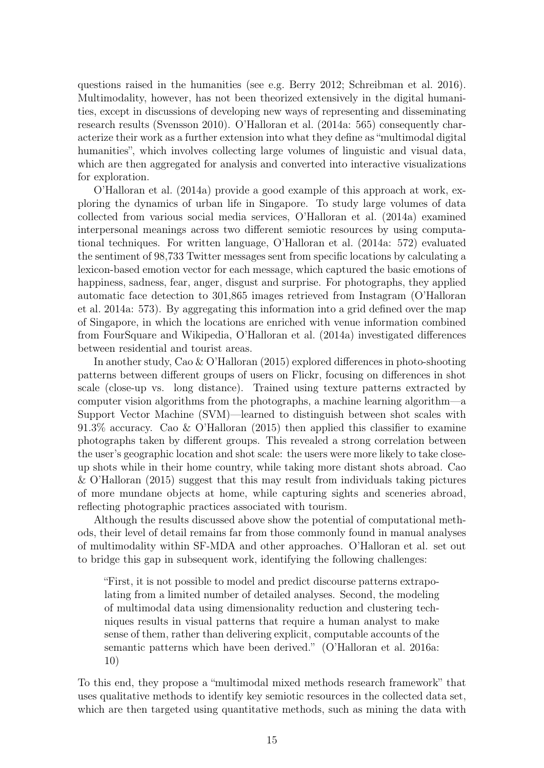questions raised in the humanities (see e.g. Berry 2012; Schreibman et al. 2016). Multimodality, however, has not been theorized extensively in the digital humanities, except in discussions of developing new ways of representing and disseminating research results (Svensson 2010). O'Halloran et al. (2014a: 565) consequently characterize their work as a further extension into what they define as "multimodal digital humanities", which involves collecting large volumes of linguistic and visual data, which are then aggregated for analysis and converted into interactive visualizations for exploration.

O'Halloran et al. (2014a) provide a good example of this approach at work, exploring the dynamics of urban life in Singapore. To study large volumes of data collected from various social media services, O'Halloran et al. (2014a) examined interpersonal meanings across two different semiotic resources by using computational techniques. For written language, O'Halloran et al. (2014a: 572) evaluated the sentiment of 98,733 Twitter messages sent from specific locations by calculating a lexicon-based emotion vector for each message, which captured the basic emotions of happiness, sadness, fear, anger, disgust and surprise. For photographs, they applied automatic face detection to 301,865 images retrieved from Instagram (O'Halloran et al. 2014a: 573). By aggregating this information into a grid defined over the map of Singapore, in which the locations are enriched with venue information combined from FourSquare and Wikipedia, O'Halloran et al. (2014a) investigated differences between residential and tourist areas.

In another study, Cao & O'Halloran (2015) explored differences in photo-shooting patterns between different groups of users on Flickr, focusing on differences in shot scale (close-up vs. long distance). Trained using texture patterns extracted by computer vision algorithms from the photographs, a machine learning algorithm—a Support Vector Machine (SVM)—learned to distinguish between shot scales with 91.3% accuracy. Cao & O'Halloran (2015) then applied this classifier to examine photographs taken by different groups. This revealed a strong correlation between the user's geographic location and shot scale: the users were more likely to take closeup shots while in their home country, while taking more distant shots abroad. Cao & O'Halloran (2015) suggest that this may result from individuals taking pictures of more mundane objects at home, while capturing sights and sceneries abroad, reflecting photographic practices associated with tourism.

Although the results discussed above show the potential of computational methods, their level of detail remains far from those commonly found in manual analyses of multimodality within SF-MDA and other approaches. O'Halloran et al. set out to bridge this gap in subsequent work, identifying the following challenges:

"First, it is not possible to model and predict discourse patterns extrapolating from a limited number of detailed analyses. Second, the modeling of multimodal data using dimensionality reduction and clustering techniques results in visual patterns that require a human analyst to make sense of them, rather than delivering explicit, computable accounts of the semantic patterns which have been derived." (O'Halloran et al. 2016a: 10)

To this end, they propose a "multimodal mixed methods research framework" that uses qualitative methods to identify key semiotic resources in the collected data set, which are then targeted using quantitative methods, such as mining the data with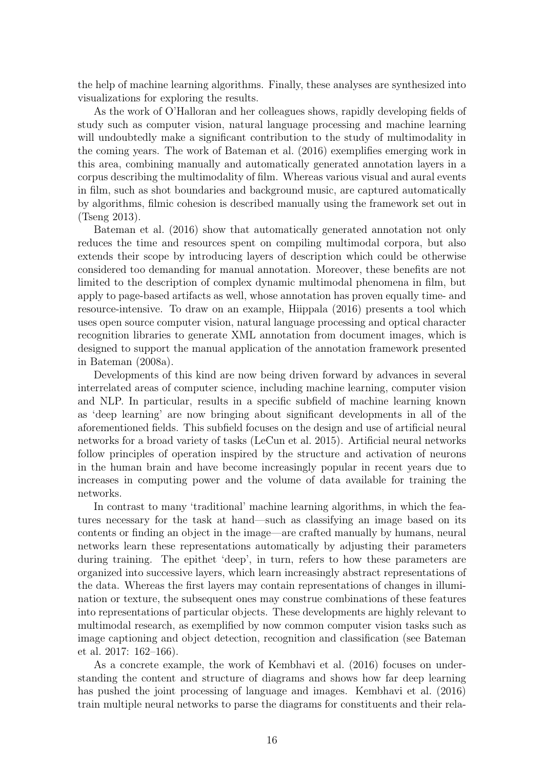the help of machine learning algorithms. Finally, these analyses are synthesized into visualizations for exploring the results.

As the work of O'Halloran and her colleagues shows, rapidly developing fields of study such as computer vision, natural language processing and machine learning will undoubtedly make a significant contribution to the study of multimodality in the coming years. The work of Bateman et al. (2016) exemplifies emerging work in this area, combining manually and automatically generated annotation layers in a corpus describing the multimodality of film. Whereas various visual and aural events in film, such as shot boundaries and background music, are captured automatically by algorithms, filmic cohesion is described manually using the framework set out in (Tseng 2013).

Bateman et al. (2016) show that automatically generated annotation not only reduces the time and resources spent on compiling multimodal corpora, but also extends their scope by introducing layers of description which could be otherwise considered too demanding for manual annotation. Moreover, these benefits are not limited to the description of complex dynamic multimodal phenomena in film, but apply to page-based artifacts as well, whose annotation has proven equally time- and resource-intensive. To draw on an example, Hiippala (2016) presents a tool which uses open source computer vision, natural language processing and optical character recognition libraries to generate XML annotation from document images, which is designed to support the manual application of the annotation framework presented in Bateman (2008a).

Developments of this kind are now being driven forward by advances in several interrelated areas of computer science, including machine learning, computer vision and NLP. In particular, results in a specific subfield of machine learning known as 'deep learning' are now bringing about significant developments in all of the aforementioned fields. This subfield focuses on the design and use of artificial neural networks for a broad variety of tasks (LeCun et al. 2015). Artificial neural networks follow principles of operation inspired by the structure and activation of neurons in the human brain and have become increasingly popular in recent years due to increases in computing power and the volume of data available for training the networks.

In contrast to many 'traditional' machine learning algorithms, in which the features necessary for the task at hand—such as classifying an image based on its contents or finding an object in the image—are crafted manually by humans, neural networks learn these representations automatically by adjusting their parameters during training. The epithet 'deep', in turn, refers to how these parameters are organized into successive layers, which learn increasingly abstract representations of the data. Whereas the first layers may contain representations of changes in illumination or texture, the subsequent ones may construe combinations of these features into representations of particular objects. These developments are highly relevant to multimodal research, as exemplified by now common computer vision tasks such as image captioning and object detection, recognition and classification (see Bateman et al. 2017: 162–166).

As a concrete example, the work of Kembhavi et al. (2016) focuses on understanding the content and structure of diagrams and shows how far deep learning has pushed the joint processing of language and images. Kembhavi et al. (2016) train multiple neural networks to parse the diagrams for constituents and their rela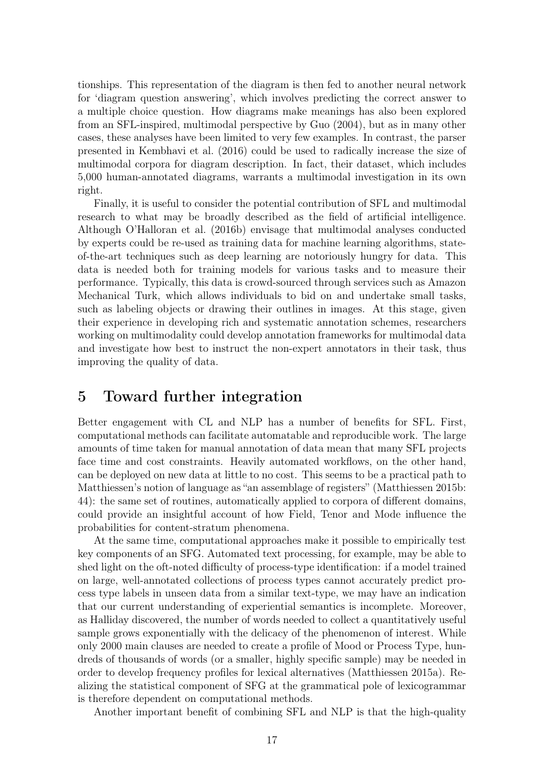tionships. This representation of the diagram is then fed to another neural network for 'diagram question answering', which involves predicting the correct answer to a multiple choice question. How diagrams make meanings has also been explored from an SFL-inspired, multimodal perspective by Guo (2004), but as in many other cases, these analyses have been limited to very few examples. In contrast, the parser presented in Kembhavi et al. (2016) could be used to radically increase the size of multimodal corpora for diagram description. In fact, their dataset, which includes 5,000 human-annotated diagrams, warrants a multimodal investigation in its own right.

Finally, it is useful to consider the potential contribution of SFL and multimodal research to what may be broadly described as the field of artificial intelligence. Although O'Halloran et al. (2016b) envisage that multimodal analyses conducted by experts could be re-used as training data for machine learning algorithms, stateof-the-art techniques such as deep learning are notoriously hungry for data. This data is needed both for training models for various tasks and to measure their performance. Typically, this data is crowd-sourced through services such as Amazon Mechanical Turk, which allows individuals to bid on and undertake small tasks, such as labeling objects or drawing their outlines in images. At this stage, given their experience in developing rich and systematic annotation schemes, researchers working on multimodality could develop annotation frameworks for multimodal data and investigate how best to instruct the non-expert annotators in their task, thus improving the quality of data.

# 5 Toward further integration

Better engagement with CL and NLP has a number of benefits for SFL. First, computational methods can facilitate automatable and reproducible work. The large amounts of time taken for manual annotation of data mean that many SFL projects face time and cost constraints. Heavily automated workflows, on the other hand, can be deployed on new data at little to no cost. This seems to be a practical path to Matthiessen's notion of language as "an assemblage of registers" (Matthiessen 2015b: 44): the same set of routines, automatically applied to corpora of different domains, could provide an insightful account of how Field, Tenor and Mode influence the probabilities for content-stratum phenomena.

At the same time, computational approaches make it possible to empirically test key components of an SFG. Automated text processing, for example, may be able to shed light on the oft-noted difficulty of process-type identification: if a model trained on large, well-annotated collections of process types cannot accurately predict process type labels in unseen data from a similar text-type, we may have an indication that our current understanding of experiential semantics is incomplete. Moreover, as Halliday discovered, the number of words needed to collect a quantitatively useful sample grows exponentially with the delicacy of the phenomenon of interest. While only 2000 main clauses are needed to create a profile of Mood or Process Type, hundreds of thousands of words (or a smaller, highly specific sample) may be needed in order to develop frequency profiles for lexical alternatives (Matthiessen 2015a). Realizing the statistical component of SFG at the grammatical pole of lexicogrammar is therefore dependent on computational methods.

Another important benefit of combining SFL and NLP is that the high-quality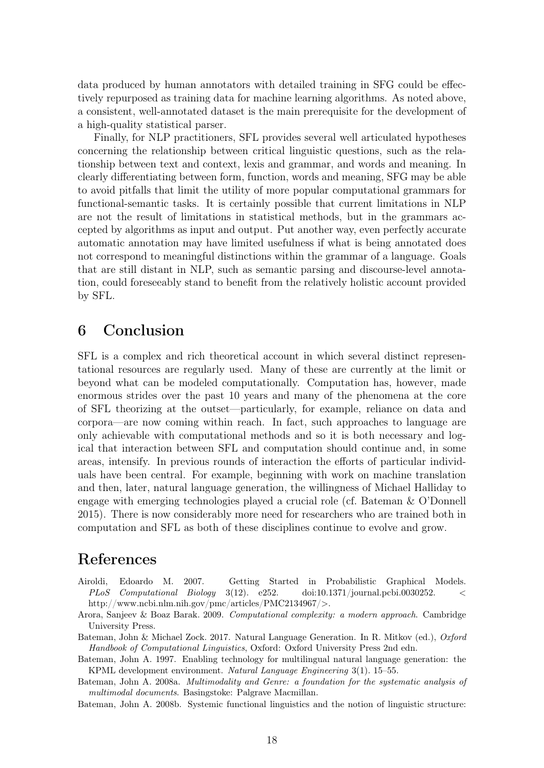data produced by human annotators with detailed training in SFG could be effectively repurposed as training data for machine learning algorithms. As noted above, a consistent, well-annotated dataset is the main prerequisite for the development of a high-quality statistical parser.

Finally, for NLP practitioners, SFL provides several well articulated hypotheses concerning the relationship between critical linguistic questions, such as the relationship between text and context, lexis and grammar, and words and meaning. In clearly differentiating between form, function, words and meaning, SFG may be able to avoid pitfalls that limit the utility of more popular computational grammars for functional-semantic tasks. It is certainly possible that current limitations in NLP are not the result of limitations in statistical methods, but in the grammars accepted by algorithms as input and output. Put another way, even perfectly accurate automatic annotation may have limited usefulness if what is being annotated does not correspond to meaningful distinctions within the grammar of a language. Goals that are still distant in NLP, such as semantic parsing and discourse-level annotation, could foreseeably stand to benefit from the relatively holistic account provided by SFL.

# 6 Conclusion

SFL is a complex and rich theoretical account in which several distinct representational resources are regularly used. Many of these are currently at the limit or beyond what can be modeled computationally. Computation has, however, made enormous strides over the past 10 years and many of the phenomena at the core of SFL theorizing at the outset—particularly, for example, reliance on data and corpora—are now coming within reach. In fact, such approaches to language are only achievable with computational methods and so it is both necessary and logical that interaction between SFL and computation should continue and, in some areas, intensify. In previous rounds of interaction the efforts of particular individuals have been central. For example, beginning with work on machine translation and then, later, natural language generation, the willingness of Michael Halliday to engage with emerging technologies played a crucial role (cf. Bateman & O'Donnell 2015). There is now considerably more need for researchers who are trained both in computation and SFL as both of these disciplines continue to evolve and grow.

# References

- Airoldi, Edoardo M. 2007. Getting Started in Probabilistic Graphical Models. PLoS Computational Biology 3(12). e252. doi:10.1371/journal.pcbi.0030252. < http://www.ncbi.nlm.nih.gov/pmc/articles/PMC2134967/>.
- Arora, Sanjeev & Boaz Barak. 2009. Computational complexity: a modern approach. Cambridge University Press.
- Bateman, John & Michael Zock. 2017. Natural Language Generation. In R. Mitkov (ed.), *Oxford* Handbook of Computational Linguistics, Oxford: Oxford University Press 2nd edn.
- Bateman, John A. 1997. Enabling technology for multilingual natural language generation: the KPML development environment. Natural Language Engineering 3(1). 15–55.
- Bateman, John A. 2008a. Multimodality and Genre: a foundation for the systematic analysis of multimodal documents. Basingstoke: Palgrave Macmillan.
- Bateman, John A. 2008b. Systemic functional linguistics and the notion of linguistic structure: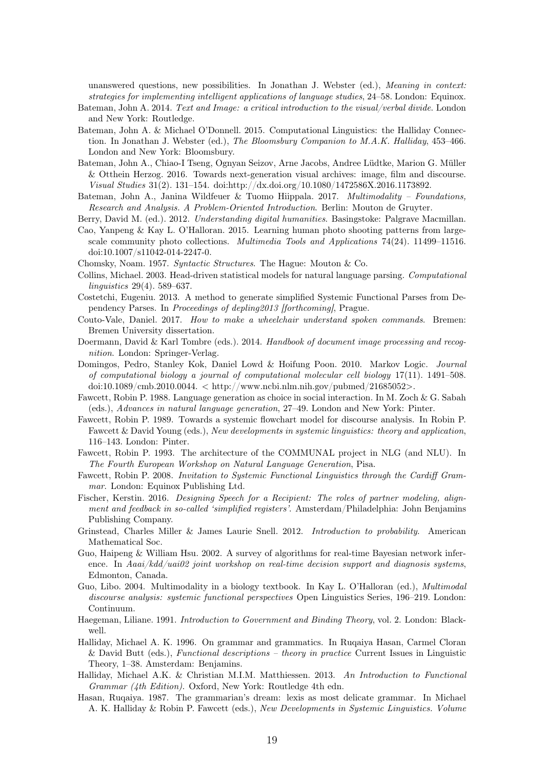unanswered questions, new possibilities. In Jonathan J. Webster (ed.), Meaning in context: strategies for implementing intelligent applications of language studies, 24–58. London: Equinox.

- Bateman, John A. 2014. Text and Image: a critical introduction to the visual/verbal divide. London and New York: Routledge.
- Bateman, John A. & Michael O'Donnell. 2015. Computational Linguistics: the Halliday Connection. In Jonathan J. Webster (ed.), The Bloomsbury Companion to M.A.K. Halliday, 453–466. London and New York: Bloomsbury.
- Bateman, John A., Chiao-I Tseng, Ognyan Seizov, Arne Jacobs, Andree Lüdtke, Marion G. Müller & Otthein Herzog. 2016. Towards next-generation visual archives: image, film and discourse. Visual Studies 31(2). 131–154. doi:http://dx.doi.org/10.1080/1472586X.2016.1173892.
- Bateman, John A., Janina Wildfeuer & Tuomo Hiippala. 2017. Multimodality Foundations, Research and Analysis. A Problem-Oriented Introduction. Berlin: Mouton de Gruyter.
- Berry, David M. (ed.). 2012. Understanding digital humanities. Basingstoke: Palgrave Macmillan.
- Cao, Yanpeng & Kay L. O'Halloran. 2015. Learning human photo shooting patterns from largescale community photo collections. Multimedia Tools and Applications 74(24). 11499–11516. doi:10.1007/s11042-014-2247-0.
- Chomsky, Noam. 1957. Syntactic Structures. The Hague: Mouton & Co.
- Collins, Michael. 2003. Head-driven statistical models for natural language parsing. Computational linguistics 29(4). 589–637.
- Costetchi, Eugeniu. 2013. A method to generate simplified Systemic Functional Parses from Dependency Parses. In Proceedings of depling2013 [forthcoming], Prague.
- Couto-Vale, Daniel. 2017. How to make a wheelchair understand spoken commands. Bremen: Bremen University dissertation.
- Doermann, David & Karl Tombre (eds.). 2014. Handbook of document image processing and recognition. London: Springer-Verlag.
- Domingos, Pedro, Stanley Kok, Daniel Lowd & Hoifung Poon. 2010. Markov Logic. Journal of computational biology a journal of computational molecular cell biology 17(11). 1491–508. doi:10.1089/cmb.2010.0044. < http://www.ncbi.nlm.nih.gov/pubmed/21685052>.
- Fawcett, Robin P. 1988. Language generation as choice in social interaction. In M. Zoch & G. Sabah (eds.), Advances in natural language generation, 27–49. London and New York: Pinter.
- Fawcett, Robin P. 1989. Towards a systemic flowchart model for discourse analysis. In Robin P. Fawcett & David Young (eds.), New developments in systemic linguistics: theory and application, 116–143. London: Pinter.
- Fawcett, Robin P. 1993. The architecture of the COMMUNAL project in NLG (and NLU). In The Fourth European Workshop on Natural Language Generation, Pisa.
- Fawcett, Robin P. 2008. Invitation to Systemic Functional Linguistics through the Cardiff Grammar. London: Equinox Publishing Ltd.
- Fischer, Kerstin. 2016. Designing Speech for a Recipient: The roles of partner modeling, alignment and feedback in so-called 'simplified registers'. Amsterdam/Philadelphia: John Benjamins Publishing Company.
- Grinstead, Charles Miller & James Laurie Snell. 2012. Introduction to probability. American Mathematical Soc.
- Guo, Haipeng & William Hsu. 2002. A survey of algorithms for real-time Bayesian network inference. In Aaai/kdd/uai02 joint workshop on real-time decision support and diagnosis systems, Edmonton, Canada.
- Guo, Libo. 2004. Multimodality in a biology textbook. In Kay L. O'Halloran (ed.), *Multimodal* discourse analysis: systemic functional perspectives Open Linguistics Series, 196–219. London: Continuum.
- Haegeman, Liliane. 1991. Introduction to Government and Binding Theory, vol. 2. London: Blackwell.
- Halliday, Michael A. K. 1996. On grammar and grammatics. In Ruqaiya Hasan, Carmel Cloran & David Butt (eds.), Functional descriptions – theory in practice Current Issues in Linguistic Theory, 1–38. Amsterdam: Benjamins.
- Halliday, Michael A.K. & Christian M.I.M. Matthiessen. 2013. An Introduction to Functional Grammar (4th Edition). Oxford, New York: Routledge 4th edn.
- Hasan, Ruqaiya. 1987. The grammarian's dream: lexis as most delicate grammar. In Michael A. K. Halliday & Robin P. Fawcett (eds.), New Developments in Systemic Linguistics. Volume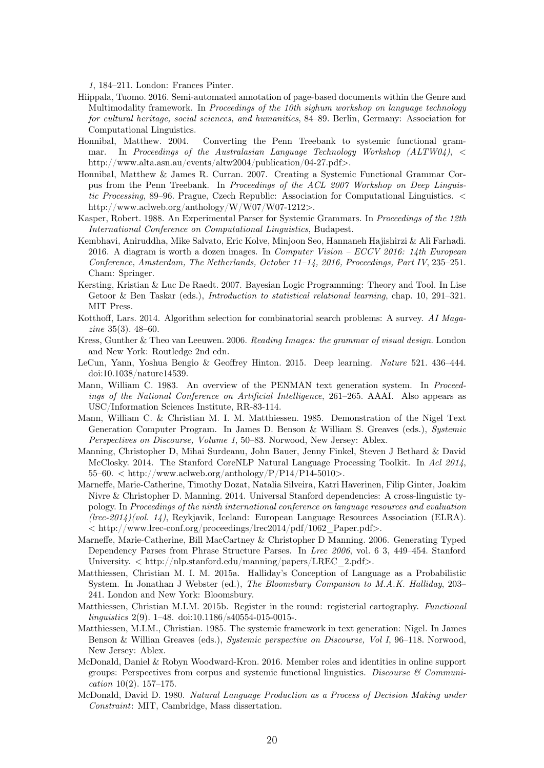1, 184–211. London: Frances Pinter.

- Hiippala, Tuomo. 2016. Semi-automated annotation of page-based documents within the Genre and Multimodality framework. In *Proceedings of the 10th sighum workshop on language technology* for cultural heritage, social sciences, and humanities, 84–89. Berlin, Germany: Association for Computational Linguistics.
- Honnibal, Matthew. 2004. Converting the Penn Treebank to systemic functional grammar. In Proceedings of the Australasian Language Technology Workshop  $(ALTW04)$ ,  $\leq$ http://www.alta.asn.au/events/altw2004/publication/04-27.pdf>.
- Honnibal, Matthew & James R. Curran. 2007. Creating a Systemic Functional Grammar Corpus from the Penn Treebank. In Proceedings of the ACL 2007 Workshop on Deep Linguistic Processing, 89–96. Prague, Czech Republic: Association for Computational Linguistics. < http://www.aclweb.org/anthology/W/W07/W07-1212>.
- Kasper, Robert. 1988. An Experimental Parser for Systemic Grammars. In Proceedings of the 12th International Conference on Computational Linguistics, Budapest.
- Kembhavi, Aniruddha, Mike Salvato, Eric Kolve, Minjoon Seo, Hannaneh Hajishirzi & Ali Farhadi. 2016. A diagram is worth a dozen images. In *Computer Vision – ECCV 2016:* 14th European Conference, Amsterdam, The Netherlands, October 11–14, 2016, Proceedings, Part IV, 235–251. Cham: Springer.
- Kersting, Kristian & Luc De Raedt. 2007. Bayesian Logic Programming: Theory and Tool. In Lise Getoor & Ben Taskar (eds.), *Introduction to statistical relational learning*, chap. 10, 291–321. MIT Press.
- Kotthoff, Lars. 2014. Algorithm selection for combinatorial search problems: A survey. AI Magazine 35(3).  $48-60$ .
- Kress, Gunther & Theo van Leeuwen. 2006. Reading Images: the grammar of visual design. London and New York: Routledge 2nd edn.
- LeCun, Yann, Yoshua Bengio & Geoffrey Hinton. 2015. Deep learning. Nature 521. 436–444. doi:10.1038/nature14539.
- Mann, William C. 1983. An overview of the PENMAN text generation system. In *Proceed*ings of the National Conference on Artificial Intelligence, 261–265. AAAI. Also appears as USC/Information Sciences Institute, RR-83-114.
- Mann, William C. & Christian M. I. M. Matthiessen. 1985. Demonstration of the Nigel Text Generation Computer Program. In James D. Benson & William S. Greaves (eds.), Systemic Perspectives on Discourse, Volume 1, 50–83. Norwood, New Jersey: Ablex.
- Manning, Christopher D, Mihai Surdeanu, John Bauer, Jenny Finkel, Steven J Bethard & David McClosky. 2014. The Stanford CoreNLP Natural Language Processing Toolkit. In Acl 2014, 55–60.  $\lt$  http://www.aclweb.org/anthology/P/P14/P14-5010>.
- Marneffe, Marie-Catherine, Timothy Dozat, Natalia Silveira, Katri Haverinen, Filip Ginter, Joakim Nivre & Christopher D. Manning. 2014. Universal Stanford dependencies: A cross-linguistic typology. In Proceedings of the ninth international conference on language resources and evaluation (lrec-2014)(vol. 14), Reykjavik, Iceland: European Language Resources Association (ELRA).  $\langle \text{http://www.lrec-conf.org/proceedings/tree2014/pdf/1062} \rangle$  Paper.pdf>.
- Marneffe, Marie-Catherine, Bill MacCartney & Christopher D Manning. 2006. Generating Typed Dependency Parses from Phrase Structure Parses. In Lrec 2006, vol. 6 3, 449–454. Stanford University.  $\langle \text{http://nlp.stanford.edu/manning/papers/LREC_2.pdf}\rangle$ .
- Matthiessen, Christian M. I. M. 2015a. Halliday's Conception of Language as a Probabilistic System. In Jonathan J Webster (ed.), The Bloomsbury Companion to M.A.K. Halliday, 203– 241. London and New York: Bloomsbury.
- Matthiessen, Christian M.I.M. 2015b. Register in the round: registerial cartography. Functional linguistics 2(9). 1–48. doi:10.1186/s40554-015-0015-.
- Matthiessen, M.I.M., Christian. 1985. The systemic framework in text generation: Nigel. In James Benson & Willian Greaves (eds.), Systemic perspective on Discourse, Vol I, 96–118. Norwood, New Jersey: Ablex.
- McDonald, Daniel & Robyn Woodward-Kron. 2016. Member roles and identities in online support groups: Perspectives from corpus and systemic functional linguistics. Discourse  $\mathcal C$  Communication 10(2). 157–175.
- McDonald, David D. 1980. Natural Language Production as a Process of Decision Making under Constraint: MIT, Cambridge, Mass dissertation.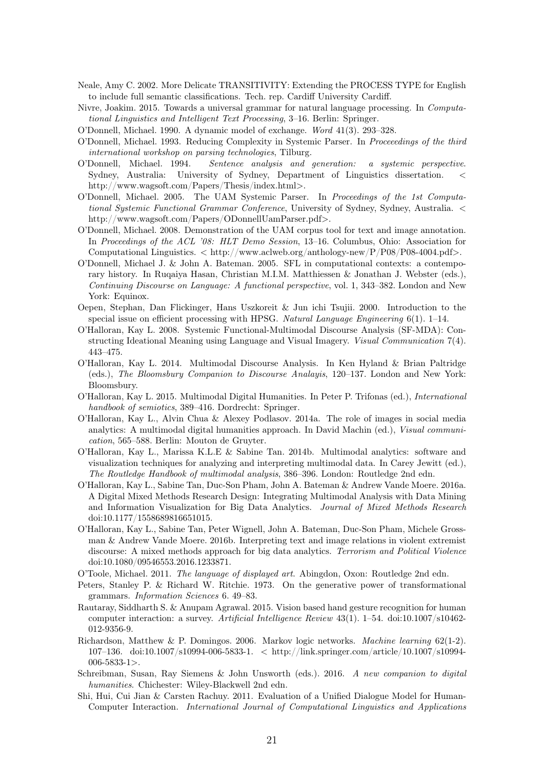- Neale, Amy C. 2002. More Delicate TRANSITIVITY: Extending the PROCESS TYPE for English to include full semantic classifications. Tech. rep. Cardiff University Cardiff.
- Nivre, Joakim. 2015. Towards a universal grammar for natural language processing. In Computational Linguistics and Intelligent Text Processing, 3–16. Berlin: Springer.
- O'Donnell, Michael. 1990. A dynamic model of exchange. Word 41(3). 293–328.
- O'Donnell, Michael. 1993. Reducing Complexity in Systemic Parser. In Proceeedings of the third international workshop on parsing technologies, Tilburg.
- O'Donnell, Michael. 1994. Sentence analysis and generation: a systemic perspective. Sydney, Australia: University of Sydney, Department of Linguistics dissertation. < http://www.wagsoft.com/Papers/Thesis/index.html>.
- O'Donnell, Michael. 2005. The UAM Systemic Parser. In Proceedings of the 1st Computational Systemic Functional Grammar Conference, University of Sydney, Sydney, Australia. < http://www.wagsoft.com/Papers/ODonnellUamParser.pdf>.
- O'Donnell, Michael. 2008. Demonstration of the UAM corpus tool for text and image annotation. In Proceedings of the ACL '08: HLT Demo Session, 13–16. Columbus, Ohio: Association for Computational Linguistics. < http://www.aclweb.org/anthology-new/P/P08/P08-4004.pdf>.
- O'Donnell, Michael J. & John A. Bateman. 2005. SFL in computational contexts: a contemporary history. In Ruqaiya Hasan, Christian M.I.M. Matthiessen & Jonathan J. Webster (eds.), Continuing Discourse on Language: A functional perspective, vol. 1, 343–382. London and New York: Equinox.
- Oepen, Stephan, Dan Flickinger, Hans Uszkoreit & Jun ichi Tsujii. 2000. Introduction to the special issue on efficient processing with HPSG. Natural Language Engineering  $6(1)$ . 1–14.
- O'Halloran, Kay L. 2008. Systemic Functional-Multimodal Discourse Analysis (SF-MDA): Constructing Ideational Meaning using Language and Visual Imagery. Visual Communication 7(4). 443–475.
- O'Halloran, Kay L. 2014. Multimodal Discourse Analysis. In Ken Hyland & Brian Paltridge (eds.), The Bloomsbury Companion to Discourse Analayis, 120–137. London and New York: Bloomsbury.
- O'Halloran, Kay L. 2015. Multimodal Digital Humanities. In Peter P. Trifonas (ed.), International handbook of semiotics, 389–416. Dordrecht: Springer.
- O'Halloran, Kay L., Alvin Chua & Alexey Podlasov. 2014a. The role of images in social media analytics: A multimodal digital humanities approach. In David Machin (ed.), Visual communication, 565–588. Berlin: Mouton de Gruyter.
- O'Halloran, Kay L., Marissa K.L.E & Sabine Tan. 2014b. Multimodal analytics: software and visualization techniques for analyzing and interpreting multimodal data. In Carey Jewitt (ed.), The Routledge Handbook of multimodal analysis, 386–396. London: Routledge 2nd edn.
- O'Halloran, Kay L., Sabine Tan, Duc-Son Pham, John A. Bateman & Andrew Vande Moere. 2016a. A Digital Mixed Methods Research Design: Integrating Multimodal Analysis with Data Mining and Information Visualization for Big Data Analytics. Journal of Mixed Methods Research doi:10.1177/1558689816651015.
- O'Halloran, Kay L., Sabine Tan, Peter Wignell, John A. Bateman, Duc-Son Pham, Michele Grossman & Andrew Vande Moere. 2016b. Interpreting text and image relations in violent extremist discourse: A mixed methods approach for big data analytics. Terrorism and Political Violence doi:10.1080/09546553.2016.1233871.
- O'Toole, Michael. 2011. The language of displayed art. Abingdon, Oxon: Routledge 2nd edn.
- Peters, Stanley P. & Richard W. Ritchie. 1973. On the generative power of transformational grammars. Information Sciences 6. 49–83.
- Rautaray, Siddharth S. & Anupam Agrawal. 2015. Vision based hand gesture recognition for human computer interaction: a survey. Artificial Intelligence Review 43(1). 1–54. doi:10.1007/s10462- 012-9356-9.
- Richardson, Matthew & P. Domingos. 2006. Markov logic networks. Machine learning 62(1-2). 107–136. doi:10.1007/s10994-006-5833-1. < http://link.springer.com/article/10.1007/s10994- 006-5833-1>.
- Schreibman, Susan, Ray Siemens & John Unsworth (eds.). 2016. A new companion to digital humanities. Chichester: Wiley-Blackwell 2nd edn.
- Shi, Hui, Cui Jian & Carsten Rachuy. 2011. Evaluation of a Unified Dialogue Model for Human-Computer Interaction. International Journal of Computational Linguistics and Applications